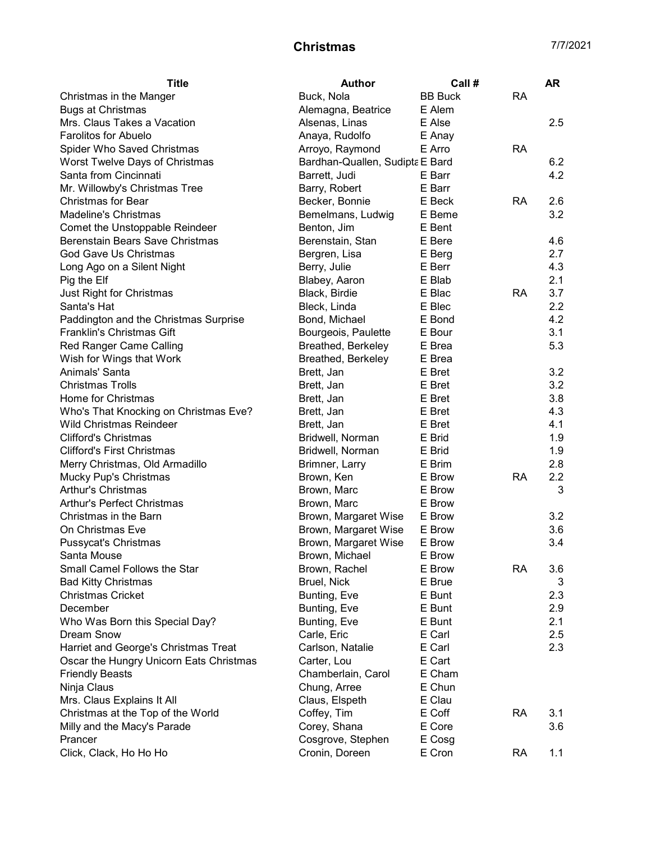| <b>Title</b>                            | <b>Author</b>                   | Call #         |           | AR  |
|-----------------------------------------|---------------------------------|----------------|-----------|-----|
| Christmas in the Manger                 | Buck, Nola                      | <b>BB Buck</b> | <b>RA</b> |     |
| <b>Bugs at Christmas</b>                | Alemagna, Beatrice              | E Alem         |           |     |
| Mrs. Claus Takes a Vacation             | Alsenas, Linas                  | E Alse         |           | 2.5 |
| <b>Farolitos for Abuelo</b>             | Anaya, Rudolfo                  | E Anay         |           |     |
| Spider Who Saved Christmas              | Arroyo, Raymond                 | E Arro         | <b>RA</b> |     |
| Worst Twelve Days of Christmas          | Bardhan-Quallen, Sudipta E Bard |                |           | 6.2 |
| Santa from Cincinnati                   | Barrett, Judi                   | E Barr         |           | 4.2 |
| Mr. Willowby's Christmas Tree           | Barry, Robert                   | E Barr         |           |     |
| <b>Christmas for Bear</b>               | Becker, Bonnie                  | E Beck         | <b>RA</b> | 2.6 |
| <b>Madeline's Christmas</b>             | Bemelmans, Ludwig               | E Beme         |           | 3.2 |
| Comet the Unstoppable Reindeer          | Benton, Jim                     | E Bent         |           |     |
| Berenstain Bears Save Christmas         | Berenstain, Stan                | E Bere         |           | 4.6 |
| God Gave Us Christmas                   | Bergren, Lisa                   | E Berg         |           | 2.7 |
| Long Ago on a Silent Night              | Berry, Julie                    | E Berr         |           | 4.3 |
| Pig the Elf                             | Blabey, Aaron                   | E Blab         |           | 2.1 |
| Just Right for Christmas                | Black, Birdie                   | E Blac         | <b>RA</b> | 3.7 |
| Santa's Hat                             | Bleck, Linda                    | E Blec         |           | 2.2 |
| Paddington and the Christmas Surprise   | Bond, Michael                   | E Bond         |           | 4.2 |
| <b>Franklin's Christmas Gift</b>        | Bourgeois, Paulette             | E Bour         |           | 3.1 |
| Red Ranger Came Calling                 | Breathed, Berkeley              | E Brea         |           | 5.3 |
| Wish for Wings that Work                | Breathed, Berkeley              | E Brea         |           |     |
| Animals' Santa                          | Brett, Jan                      | E Bret         |           | 3.2 |
| <b>Christmas Trolls</b>                 | Brett, Jan                      | E Bret         |           | 3.2 |
| Home for Christmas                      | Brett, Jan                      | E Bret         |           | 3.8 |
| Who's That Knocking on Christmas Eve?   | Brett, Jan                      | E Bret         |           | 4.3 |
| <b>Wild Christmas Reindeer</b>          | Brett, Jan                      | E Bret         |           | 4.1 |
| <b>Clifford's Christmas</b>             | Bridwell, Norman                | E Brid         |           | 1.9 |
| <b>Clifford's First Christmas</b>       | Bridwell, Norman                | E Brid         |           | 1.9 |
| Merry Christmas, Old Armadillo          | Brimner, Larry                  | E Brim         |           | 2.8 |
| Mucky Pup's Christmas                   | Brown, Ken                      | E Brow         | <b>RA</b> | 2.2 |
| Arthur's Christmas                      | Brown, Marc                     | E Brow         |           | 3   |
| <b>Arthur's Perfect Christmas</b>       | Brown, Marc                     | E Brow         |           |     |
| Christmas in the Barn                   | Brown, Margaret Wise            | E Brow         |           | 3.2 |
| On Christmas Eve                        | Brown, Margaret Wise            | E Brow         |           | 3.6 |
| Pussycat's Christmas                    | Brown, Margaret Wise            | E Brow         |           | 3.4 |
| Santa Mouse                             | Brown, Michael                  | E Brow         |           |     |
| Small Camel Follows the Star            | Brown, Rachel                   | E Brow         | RA        | 3.6 |
| <b>Bad Kitty Christmas</b>              | Bruel, Nick                     | E Brue         |           | 3   |
| <b>Christmas Cricket</b>                | Bunting, Eve                    | E Bunt         |           | 2.3 |
| December                                | Bunting, Eve                    | E Bunt         |           | 2.9 |
| Who Was Born this Special Day?          | Bunting, Eve                    | E Bunt         |           | 2.1 |
| <b>Dream Snow</b>                       | Carle, Eric                     | E Carl         |           | 2.5 |
| Harriet and George's Christmas Treat    | Carlson, Natalie                | E Carl         |           | 2.3 |
| Oscar the Hungry Unicorn Eats Christmas | Carter, Lou                     | E Cart         |           |     |
| <b>Friendly Beasts</b>                  | Chamberlain, Carol              | E Cham         |           |     |
| Ninja Claus                             | Chung, Arree                    | E Chun         |           |     |
| Mrs. Claus Explains It All              | Claus, Elspeth                  | E Clau         |           |     |
| Christmas at the Top of the World       | Coffey, Tim                     | E Coff         | <b>RA</b> | 3.1 |
| Milly and the Macy's Parade             | Corey, Shana                    | E Core         |           | 3.6 |
| Prancer                                 | Cosgrove, Stephen               | E Cosg         |           |     |
| Click, Clack, Ho Ho Ho                  | Cronin, Doreen                  | E Cron         | <b>RA</b> | 1.1 |
|                                         |                                 |                |           |     |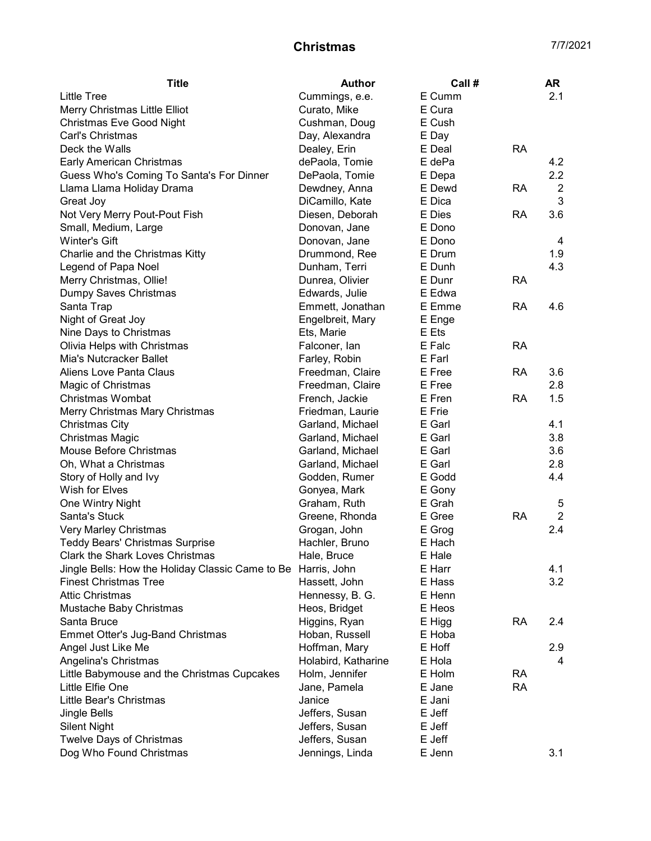| <b>Title</b>                                                  | <b>Author</b>       | Call # |           | <b>AR</b>      |
|---------------------------------------------------------------|---------------------|--------|-----------|----------------|
| <b>Little Tree</b>                                            | Cummings, e.e.      | E Cumm |           | 2.1            |
| Merry Christmas Little Elliot                                 | Curato, Mike        | E Cura |           |                |
| <b>Christmas Eve Good Night</b>                               | Cushman, Doug       | E Cush |           |                |
| Carl's Christmas                                              | Day, Alexandra      | E Day  |           |                |
| Deck the Walls                                                | Dealey, Erin        | E Deal | <b>RA</b> |                |
| Early American Christmas                                      | dePaola, Tomie      | E dePa |           | 4.2            |
| Guess Who's Coming To Santa's For Dinner                      | DePaola, Tomie      | E Depa |           | 2.2            |
| Llama Llama Holiday Drama                                     | Dewdney, Anna       | E Dewd | RA        | $\overline{2}$ |
| Great Joy                                                     | DiCamillo, Kate     | E Dica |           | 3              |
| Not Very Merry Pout-Pout Fish                                 | Diesen, Deborah     | E Dies | RA        | 3.6            |
| Small, Medium, Large                                          | Donovan, Jane       | E Dono |           |                |
| Winter's Gift                                                 | Donovan, Jane       | E Dono |           | 4              |
| Charlie and the Christmas Kitty                               | Drummond, Ree       | E Drum |           | 1.9            |
| Legend of Papa Noel                                           | Dunham, Terri       | E Dunh |           | 4.3            |
| Merry Christmas, Ollie!                                       | Dunrea, Olivier     | E Dunr | <b>RA</b> |                |
| Dumpy Saves Christmas                                         | Edwards, Julie      | E Edwa |           |                |
| Santa Trap                                                    | Emmett, Jonathan    | E Emme | <b>RA</b> | 4.6            |
| Night of Great Joy                                            | Engelbreit, Mary    | E Enge |           |                |
| Nine Days to Christmas                                        | Ets, Marie          | E Ets  |           |                |
| Olivia Helps with Christmas                                   | Falconer, lan       | E Falc | <b>RA</b> |                |
| Mia's Nutcracker Ballet                                       | Farley, Robin       | E Farl |           |                |
| Aliens Love Panta Claus                                       | Freedman, Claire    | E Free | <b>RA</b> | 3.6            |
| Magic of Christmas                                            | Freedman, Claire    | E Free |           | 2.8            |
| <b>Christmas Wombat</b>                                       | French, Jackie      | E Fren | <b>RA</b> | 1.5            |
| Merry Christmas Mary Christmas                                | Friedman, Laurie    | E Frie |           |                |
| <b>Christmas City</b>                                         | Garland, Michael    | E Garl |           | 4.1            |
| Christmas Magic                                               | Garland, Michael    | E Garl |           | 3.8            |
| Mouse Before Christmas                                        | Garland, Michael    | E Garl |           | 3.6            |
| Oh, What a Christmas                                          | Garland, Michael    | E Garl |           | 2.8            |
| Story of Holly and Ivy                                        | Godden, Rumer       | E Godd |           | 4.4            |
| Wish for Elves                                                | Gonyea, Mark        | E Gony |           |                |
| One Wintry Night                                              | Graham, Ruth        | E Grah |           | 5              |
| Santa's Stuck                                                 | Greene, Rhonda      | E Gree | <b>RA</b> | $\overline{2}$ |
| Very Marley Christmas                                         | Grogan, John        | E Grog |           | 2.4            |
| <b>Teddy Bears' Christmas Surprise</b>                        | Hachler, Bruno      | E Hach |           |                |
| Clark the Shark Loves Christmas                               | Hale, Bruce         | E Hale |           |                |
| Jingle Bells: How the Holiday Classic Came to Be Harris, John |                     | E Harr |           | 4.1            |
| <b>Finest Christmas Tree</b>                                  | Hassett, John       | E Hass |           | 3.2            |
| <b>Attic Christmas</b>                                        | Hennessy, B. G.     | E Henn |           |                |
| Mustache Baby Christmas                                       | Heos, Bridget       | E Heos |           |                |
| Santa Bruce                                                   | Higgins, Ryan       | E Higg | RA        | 2.4            |
| Emmet Otter's Jug-Band Christmas                              |                     | E Hoba |           |                |
|                                                               | Hoban, Russell      |        |           |                |
| Angel Just Like Me                                            | Hoffman, Mary       | E Hoff |           | 2.9<br>4       |
| Angelina's Christmas                                          | Holabird, Katharine | E Hola |           |                |
| Little Babymouse and the Christmas Cupcakes                   | Holm, Jennifer      | E Holm | <b>RA</b> |                |
| Little Elfie One                                              | Jane, Pamela        | E Jane | <b>RA</b> |                |
| Little Bear's Christmas                                       | Janice              | E Jani |           |                |
| Jingle Bells                                                  | Jeffers, Susan      | E Jeff |           |                |
| <b>Silent Night</b>                                           | Jeffers, Susan      | E Jeff |           |                |
| Twelve Days of Christmas                                      | Jeffers, Susan      | E Jeff |           |                |
| Dog Who Found Christmas                                       | Jennings, Linda     | E Jenn |           | 3.1            |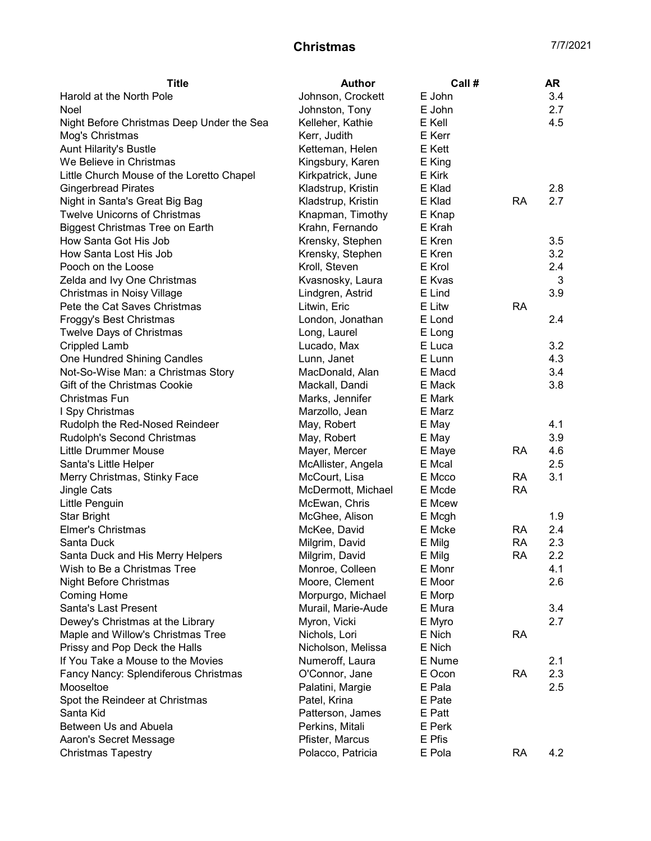| <b>Title</b>                              | <b>Author</b>                     | Call # |           | AR  |
|-------------------------------------------|-----------------------------------|--------|-----------|-----|
| Harold at the North Pole                  | Johnson, Crockett                 | E John |           | 3.4 |
| Noel                                      | Johnston, Tony                    | E John |           | 2.7 |
| Night Before Christmas Deep Under the Sea | Kelleher, Kathie                  | E Kell |           | 4.5 |
| Mog's Christmas                           | Kerr, Judith                      | E Kerr |           |     |
| Aunt Hilarity's Bustle                    | Ketteman, Helen                   | E Kett |           |     |
| We Believe in Christmas                   | Kingsbury, Karen                  | E King |           |     |
| Little Church Mouse of the Loretto Chapel | Kirkpatrick, June                 | E Kirk |           |     |
| <b>Gingerbread Pirates</b>                | Kladstrup, Kristin                | E Klad |           | 2.8 |
| Night in Santa's Great Big Bag            | Kladstrup, Kristin                | E Klad | <b>RA</b> | 2.7 |
| <b>Twelve Unicorns of Christmas</b>       | Knapman, Timothy                  | E Knap |           |     |
| <b>Biggest Christmas Tree on Earth</b>    | Krahn, Fernando                   | E Krah |           |     |
| How Santa Got His Job                     | Krensky, Stephen                  | E Kren |           | 3.5 |
| How Santa Lost His Job                    | Krensky, Stephen                  | E Kren |           | 3.2 |
| Pooch on the Loose                        | Kroll, Steven                     | E Krol |           | 2.4 |
| Zelda and Ivy One Christmas               | Kvasnosky, Laura                  | E Kvas |           | 3   |
| <b>Christmas in Noisy Village</b>         | Lindgren, Astrid                  | E Lind |           | 3.9 |
| Pete the Cat Saves Christmas              | Litwin, Eric                      | E Litw | <b>RA</b> |     |
| Froggy's Best Christmas                   | London, Jonathan                  | E Lond |           | 2.4 |
| Twelve Days of Christmas                  | Long, Laurel                      | E Long |           |     |
| <b>Crippled Lamb</b>                      | Lucado, Max                       | E Luca |           | 3.2 |
| One Hundred Shining Candles               | Lunn, Janet                       | E Lunn |           | 4.3 |
| Not-So-Wise Man: a Christmas Story        | MacDonald, Alan                   | E Macd |           | 3.4 |
| Gift of the Christmas Cookie              | Mackall, Dandi                    | E Mack |           | 3.8 |
| Christmas Fun                             | Marks, Jennifer                   | E Mark |           |     |
| I Spy Christmas                           | Marzollo, Jean                    | E Marz |           |     |
| Rudolph the Red-Nosed Reindeer            | May, Robert                       | E May  |           | 4.1 |
| Rudolph's Second Christmas                | May, Robert                       | E May  |           | 3.9 |
| <b>Little Drummer Mouse</b>               | Mayer, Mercer                     | E Maye | <b>RA</b> | 4.6 |
| Santa's Little Helper                     | McAllister, Angela                | E Mcal |           | 2.5 |
| Merry Christmas, Stinky Face              | McCourt, Lisa                     | E Mcco | <b>RA</b> | 3.1 |
| Jingle Cats                               | McDermott, Michael                | E Mcde | <b>RA</b> |     |
| Little Penguin                            | McEwan, Chris                     | E Mcew |           |     |
| <b>Star Bright</b>                        | McGhee, Alison                    | E Mcgh |           | 1.9 |
| <b>Elmer's Christmas</b>                  | McKee, David                      | E Mcke | <b>RA</b> | 2.4 |
| Santa Duck                                |                                   | E Milg | <b>RA</b> | 2.3 |
| Santa Duck and His Merry Helpers          | Milgrim, David                    | E Milg | <b>RA</b> | 2.2 |
|                                           | Milgrim, David<br>Monroe, Colleen | E Monr |           | 4.1 |
| Wish to Be a Christmas Tree               |                                   | E Moor |           | 2.6 |
| Night Before Christmas                    | Moore, Clement                    |        |           |     |
| <b>Coming Home</b>                        | Morpurgo, Michael                 | E Morp |           |     |
| Santa's Last Present                      | Murail, Marie-Aude                | E Mura |           | 3.4 |
| Dewey's Christmas at the Library          | Myron, Vicki                      | E Myro |           | 2.7 |
| Maple and Willow's Christmas Tree         | Nichols, Lori                     | E Nich | <b>RA</b> |     |
| Prissy and Pop Deck the Halls             | Nicholson, Melissa                | E Nich |           |     |
| If You Take a Mouse to the Movies         | Numeroff, Laura                   | E Nume |           | 2.1 |
| Fancy Nancy: Splendiferous Christmas      | O'Connor, Jane                    | E Ocon | <b>RA</b> | 2.3 |
| Mooseltoe                                 | Palatini, Margie                  | E Pala |           | 2.5 |
| Spot the Reindeer at Christmas            | Patel, Krina                      | E Pate |           |     |
| Santa Kid                                 | Patterson, James                  | E Patt |           |     |
| Between Us and Abuela                     | Perkins, Mitali                   | E Perk |           |     |
| Aaron's Secret Message                    | Pfister, Marcus                   | E Pfis |           |     |
| <b>Christmas Tapestry</b>                 | Polacco, Patricia                 | E Pola | <b>RA</b> | 4.2 |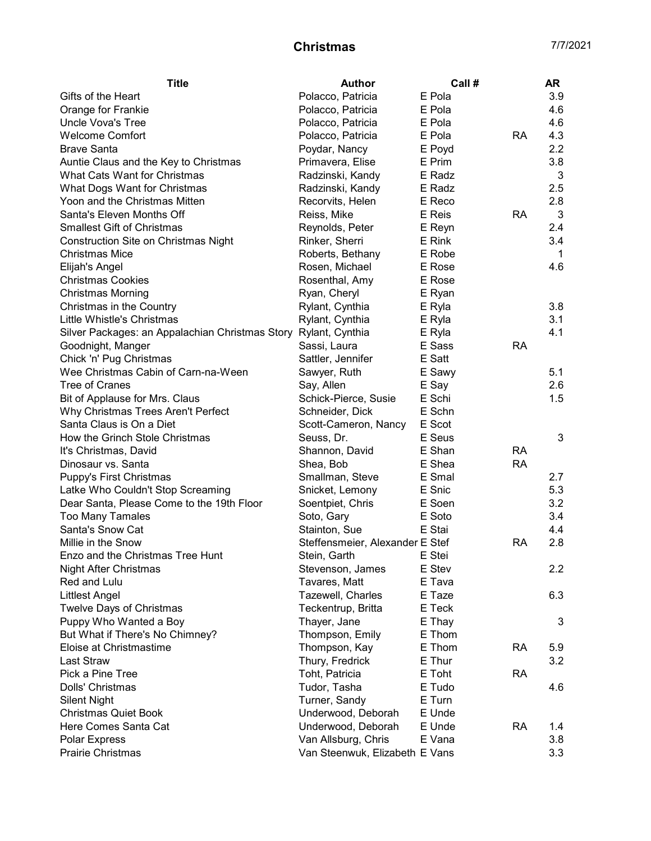| <b>Title</b>                                                                   | Author                          | Call # |           | AR  |
|--------------------------------------------------------------------------------|---------------------------------|--------|-----------|-----|
| Gifts of the Heart                                                             | Polacco, Patricia               | E Pola |           | 3.9 |
| Orange for Frankie                                                             | Polacco, Patricia               | E Pola |           | 4.6 |
| <b>Uncle Vova's Tree</b>                                                       | Polacco, Patricia               | E Pola |           | 4.6 |
| <b>Welcome Comfort</b>                                                         | Polacco, Patricia               | E Pola | <b>RA</b> | 4.3 |
| <b>Brave Santa</b>                                                             | Poydar, Nancy                   | E Poyd |           | 2.2 |
| Auntie Claus and the Key to Christmas                                          | Primavera, Elise                | E Prim |           | 3.8 |
| What Cats Want for Christmas                                                   | Radzinski, Kandy                | E Radz |           | 3   |
| What Dogs Want for Christmas                                                   | Radzinski, Kandy                | E Radz |           | 2.5 |
| Yoon and the Christmas Mitten                                                  | Recorvits, Helen                | E Reco |           | 2.8 |
| Santa's Eleven Months Off                                                      | Reiss, Mike                     | E Reis | <b>RA</b> | 3   |
| <b>Smallest Gift of Christmas</b>                                              | Reynolds, Peter                 | E Reyn |           | 2.4 |
| <b>Construction Site on Christmas Night</b>                                    | Rinker, Sherri                  | E Rink |           | 3.4 |
| <b>Christmas Mice</b>                                                          | Roberts, Bethany                | E Robe |           | 1   |
| Elijah's Angel                                                                 | Rosen, Michael                  | E Rose |           | 4.6 |
| <b>Christmas Cookies</b>                                                       | Rosenthal, Amy                  | E Rose |           |     |
| <b>Christmas Morning</b>                                                       | Ryan, Cheryl                    | E Ryan |           |     |
| Christmas in the Country                                                       | Rylant, Cynthia                 | E Ryla |           | 3.8 |
| Little Whistle's Christmas                                                     | Rylant, Cynthia                 | E Ryla |           | 3.1 |
| Silver Packages: an Appalachian Christmas Story Rylant, Cynthia                |                                 | E Ryla |           | 4.1 |
| Goodnight, Manger                                                              | Sassi, Laura                    | E Sass | <b>RA</b> |     |
| Chick 'n' Pug Christmas                                                        | Sattler, Jennifer               | E Satt |           |     |
| Wee Christmas Cabin of Carn-na-Ween                                            | Sawyer, Ruth                    | E Sawy |           | 5.1 |
| <b>Tree of Cranes</b>                                                          | Say, Allen                      | E Say  |           | 2.6 |
| Bit of Applause for Mrs. Claus                                                 | Schick-Pierce, Susie            | E Schi |           | 1.5 |
| Why Christmas Trees Aren't Perfect                                             | Schneider, Dick                 | E Schn |           |     |
| Santa Claus is On a Diet                                                       | Scott-Cameron, Nancy            | E Scot |           |     |
| How the Grinch Stole Christmas                                                 | Seuss, Dr.                      | E Seus |           | 3   |
| It's Christmas, David                                                          | Shannon, David                  | E Shan | <b>RA</b> |     |
| Dinosaur vs. Santa                                                             | Shea, Bob                       | E Shea | <b>RA</b> |     |
|                                                                                | Smallman, Steve                 | E Smal |           | 2.7 |
| Puppy's First Christmas                                                        |                                 | E Snic |           | 5.3 |
| Latke Who Couldn't Stop Screaming<br>Dear Santa, Please Come to the 19th Floor | Snicket, Lemony                 | E Soen |           | 3.2 |
|                                                                                | Soentpiet, Chris                | E Soto |           | 3.4 |
| <b>Too Many Tamales</b>                                                        | Soto, Gary                      |        |           |     |
| Santa's Snow Cat                                                               | Stainton, Sue                   | E Stai |           | 4.4 |
| Millie in the Snow                                                             | Steffensmeier, Alexander E Stef |        | <b>RA</b> | 2.8 |
| Enzo and the Christmas Tree Hunt                                               | Stein, Garth                    | E Stei |           |     |
| <b>Night After Christmas</b>                                                   | Stevenson, James                | E Stev |           | 2.2 |
| Red and Lulu                                                                   | Tavares, Matt                   | E Tava |           |     |
| <b>Littlest Angel</b>                                                          | Tazewell, Charles               | E Taze |           | 6.3 |
| Twelve Days of Christmas                                                       | Teckentrup, Britta              | E Teck |           |     |
| Puppy Who Wanted a Boy                                                         | Thayer, Jane                    | E Thay |           | 3   |
| But What if There's No Chimney?                                                | Thompson, Emily                 | E Thom |           |     |
| Eloise at Christmastime                                                        | Thompson, Kay                   | E Thom | RA        | 5.9 |
| <b>Last Straw</b>                                                              | Thury, Fredrick                 | E Thur |           | 3.2 |
| Pick a Pine Tree                                                               | Toht, Patricia                  | E Toht | <b>RA</b> |     |
| Dolls' Christmas                                                               | Tudor, Tasha                    | E Tudo |           | 4.6 |
| <b>Silent Night</b>                                                            | Turner, Sandy                   | E Turn |           |     |
| <b>Christmas Quiet Book</b>                                                    | Underwood, Deborah              | E Unde |           |     |
| Here Comes Santa Cat                                                           | Underwood, Deborah              | E Unde | <b>RA</b> | 1.4 |
| Polar Express                                                                  | Van Allsburg, Chris             | E Vana |           | 3.8 |
| Prairie Christmas                                                              | Van Steenwuk, Elizabeth E Vans  |        |           | 3.3 |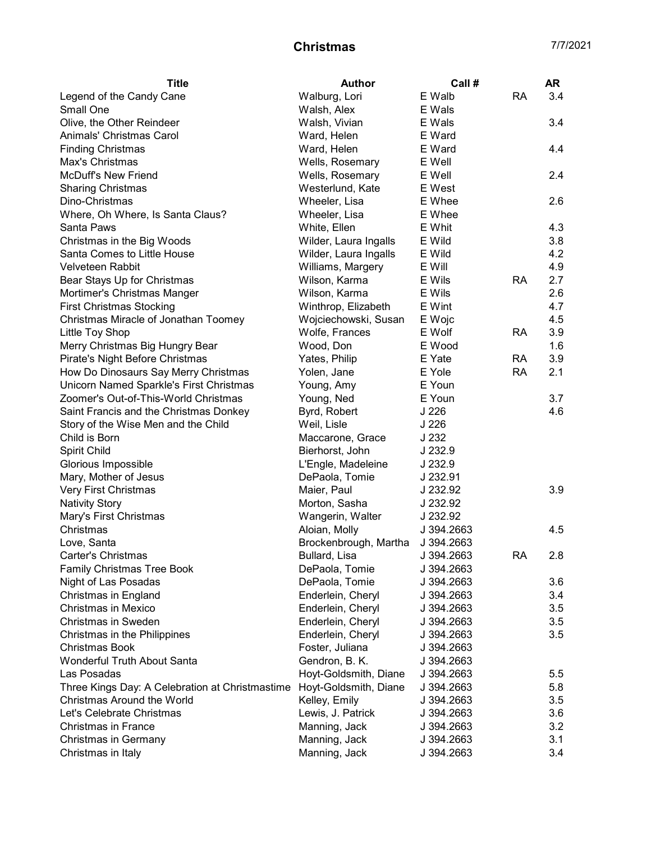| <b>Title</b>                                    | <b>Author</b>         | Call #     |           | AR  |
|-------------------------------------------------|-----------------------|------------|-----------|-----|
| Legend of the Candy Cane                        | Walburg, Lori         | E Walb     | <b>RA</b> | 3.4 |
| Small One                                       | Walsh, Alex           | E Wals     |           |     |
| Olive, the Other Reindeer                       | Walsh, Vivian         | E Wals     |           | 3.4 |
| Animals' Christmas Carol                        | Ward, Helen           | E Ward     |           |     |
| <b>Finding Christmas</b>                        | Ward, Helen           | E Ward     |           | 4.4 |
| Max's Christmas                                 | Wells, Rosemary       | E Well     |           |     |
| <b>McDuff's New Friend</b>                      | Wells, Rosemary       | E Well     |           | 2.4 |
| <b>Sharing Christmas</b>                        | Westerlund, Kate      | E West     |           |     |
| Dino-Christmas                                  | Wheeler, Lisa         | E Whee     |           | 2.6 |
| Where, Oh Where, Is Santa Claus?                | Wheeler, Lisa         | E Whee     |           |     |
| Santa Paws                                      | White, Ellen          | E Whit     |           | 4.3 |
| Christmas in the Big Woods                      | Wilder, Laura Ingalls | E Wild     |           | 3.8 |
| Santa Comes to Little House                     | Wilder, Laura Ingalls | E Wild     |           | 4.2 |
| Velveteen Rabbit                                | Williams, Margery     | E Will     |           | 4.9 |
| Bear Stays Up for Christmas                     | Wilson, Karma         | E Wils     | <b>RA</b> | 2.7 |
| Mortimer's Christmas Manger                     | Wilson, Karma         | E Wils     |           | 2.6 |
| <b>First Christmas Stocking</b>                 | Winthrop, Elizabeth   | E Wint     |           | 4.7 |
| Christmas Miracle of Jonathan Toomey            | Wojciechowski, Susan  | E Wojc     |           | 4.5 |
| Little Toy Shop                                 | Wolfe, Frances        | E Wolf     | RA        | 3.9 |
| Merry Christmas Big Hungry Bear                 | Wood, Don             | E Wood     |           | 1.6 |
| Pirate's Night Before Christmas                 | Yates, Philip         | E Yate     | RA        | 3.9 |
| How Do Dinosaurs Say Merry Christmas            | Yolen, Jane           | E Yole     | <b>RA</b> | 2.1 |
| Unicorn Named Sparkle's First Christmas         | Young, Amy            | E Youn     |           |     |
| Zoomer's Out-of-This-World Christmas            | Young, Ned            | E Youn     |           | 3.7 |
| Saint Francis and the Christmas Donkey          | Byrd, Robert          | J 226      |           | 4.6 |
| Story of the Wise Men and the Child             | Weil, Lisle           | J 226      |           |     |
| Child is Born                                   | Maccarone, Grace      | J 232      |           |     |
| Spirit Child                                    | Bierhorst, John       | J 232.9    |           |     |
| Glorious Impossible                             | L'Engle, Madeleine    | J 232.9    |           |     |
| Mary, Mother of Jesus                           | DePaola, Tomie        | J 232.91   |           |     |
| Very First Christmas                            | Maier, Paul           | J 232.92   |           | 3.9 |
| <b>Nativity Story</b>                           | Morton, Sasha         | J 232.92   |           |     |
| Mary's First Christmas                          | Wangerin, Walter      | J 232.92   |           |     |
| Christmas                                       | Aloian, Molly         | J 394.2663 |           | 4.5 |
| Love, Santa                                     | Brockenbrough, Martha | J 394.2663 |           |     |
| Carter's Christmas                              | Bullard, Lisa         | J 394.2663 | <b>RA</b> | 2.8 |
| <b>Family Christmas Tree Book</b>               | DePaola, Tomie        | J 394.2663 |           |     |
| Night of Las Posadas                            | DePaola, Tomie        | J 394.2663 |           | 3.6 |
| Christmas in England                            | Enderlein, Cheryl     | J 394.2663 |           | 3.4 |
| Christmas in Mexico                             | Enderlein, Cheryl     | J 394.2663 |           | 3.5 |
| Christmas in Sweden                             | Enderlein, Cheryl     | J 394.2663 |           | 3.5 |
| Christmas in the Philippines                    | Enderlein, Cheryl     | J 394.2663 |           | 3.5 |
| <b>Christmas Book</b>                           | Foster, Juliana       | J 394.2663 |           |     |
| Wonderful Truth About Santa                     | Gendron, B. K.        | J 394.2663 |           |     |
| Las Posadas                                     | Hoyt-Goldsmith, Diane | J 394.2663 |           | 5.5 |
| Three Kings Day: A Celebration at Christmastime | Hoyt-Goldsmith, Diane | J 394.2663 |           | 5.8 |
| Christmas Around the World                      | Kelley, Emily         | J 394.2663 |           | 3.5 |
| Let's Celebrate Christmas                       | Lewis, J. Patrick     | J 394.2663 |           | 3.6 |
| <b>Christmas in France</b>                      | Manning, Jack         | J 394.2663 |           | 3.2 |
| <b>Christmas in Germany</b>                     | Manning, Jack         | J 394.2663 |           | 3.1 |
| Christmas in Italy                              | Manning, Jack         | J 394.2663 |           | 3.4 |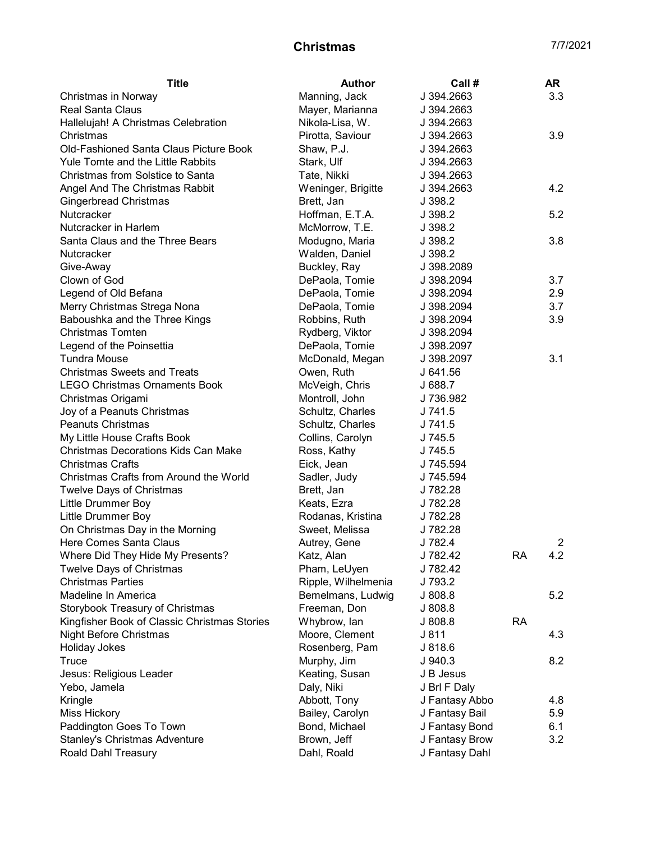|                                                                                      | AR             |
|--------------------------------------------------------------------------------------|----------------|
| Manning, Jack<br>J 394.2663<br>Christmas in Norway                                   | 3.3            |
| <b>Real Santa Claus</b><br>Mayer, Marianna<br>J 394.2663                             |                |
| Nikola-Lisa, W.<br>Hallelujah! A Christmas Celebration<br>J 394.2663                 |                |
| Pirotta, Saviour<br>Christmas<br>J 394.2663                                          | 3.9            |
| <b>Old-Fashioned Santa Claus Picture Book</b><br>Shaw, P.J.<br>J 394.2663            |                |
| Yule Tomte and the Little Rabbits<br>Stark, Ulf<br>J 394.2663                        |                |
| Christmas from Solstice to Santa<br>Tate, Nikki<br>J 394.2663                        |                |
| Angel And The Christmas Rabbit<br>Weninger, Brigitte<br>J 394.2663                   | 4.2            |
| <b>Gingerbread Christmas</b><br>Brett, Jan<br>J 398.2                                |                |
| Nutcracker<br>Hoffman, E.T.A.<br>J.398.2                                             | 5.2            |
| Nutcracker in Harlem<br>McMorrow, T.E.<br>J 398.2                                    |                |
| Santa Claus and the Three Bears<br>Modugno, Maria<br>J 398.2                         | 3.8            |
| Walden, Daniel<br>Nutcracker<br>J 398.2                                              |                |
| Buckley, Ray<br>Give-Away<br>J 398.2089                                              |                |
| Clown of God<br>DePaola, Tomie<br>J 398.2094                                         | 3.7            |
| Legend of Old Befana<br>DePaola, Tomie<br>J 398.2094                                 | 2.9            |
| Merry Christmas Strega Nona<br>DePaola, Tomie<br>J 398.2094                          | 3.7            |
| Baboushka and the Three Kings<br>Robbins, Ruth<br>J 398.2094                         | 3.9            |
| <b>Christmas Tomten</b><br>Rydberg, Viktor<br>J 398.2094                             |                |
| Legend of the Poinsettia<br>DePaola, Tomie<br>J 398.2097                             |                |
| <b>Tundra Mouse</b><br>McDonald, Megan<br>J 398.2097                                 | 3.1            |
| <b>Christmas Sweets and Treats</b><br>Owen, Ruth<br>J 641.56                         |                |
| <b>LEGO Christmas Ornaments Book</b><br>McVeigh, Chris<br>J 688.7                    |                |
| J 736.982<br>Christmas Origami<br>Montroll, John                                     |                |
| Joy of a Peanuts Christmas<br>Schultz, Charles<br>J 741.5                            |                |
| <b>Peanuts Christmas</b><br>Schultz, Charles<br>J 741.5                              |                |
| My Little House Crafts Book<br>Collins, Carolyn<br>J 745.5                           |                |
| <b>Christmas Decorations Kids Can Make</b><br>Ross, Kathy<br>J 745.5                 |                |
| <b>Christmas Crafts</b><br>Eick, Jean<br>J 745.594                                   |                |
| Christmas Crafts from Around the World<br>J 745.594<br>Sadler, Judy                  |                |
| J 782.28<br><b>Twelve Days of Christmas</b><br>Brett, Jan                            |                |
| Little Drummer Boy<br>J 782.28<br>Keats, Ezra                                        |                |
| Little Drummer Boy<br>Rodanas, Kristina<br>J 782.28                                  |                |
| On Christmas Day in the Morning<br>Sweet, Melissa<br>J 782.28                        |                |
| Here Comes Santa Claus<br>J 782.4<br>Autrey, Gene                                    | $\overline{2}$ |
| Where Did They Hide My Presents?<br>J 782.42<br><b>RA</b><br>Katz, Alan              | 4.2            |
| Twelve Days of Christmas<br>Pham, LeUyen<br>J 782.42                                 |                |
| <b>Christmas Parties</b><br>Ripple, Wilhelmenia<br>J 793.2                           |                |
| Madeline In America<br>J 808.8<br>Bemelmans, Ludwig                                  | 5.2            |
| Storybook Treasury of Christmas<br>Freeman, Don<br>J 808.8                           |                |
| Kingfisher Book of Classic Christmas Stories<br>Whybrow, lan<br>J 808.8<br><b>RA</b> |                |
| Night Before Christmas<br>Moore, Clement<br>J 811                                    | 4.3            |
| <b>Holiday Jokes</b><br>Rosenberg, Pam<br>J 818.6                                    |                |
| Murphy, Jim<br>Truce<br>J.940.3                                                      | 8.2            |
| Jesus: Religious Leader<br>Keating, Susan<br>J B Jesus                               |                |
| Yebo, Jamela<br>Daly, Niki<br>J Brl F Daly                                           |                |
| J Fantasy Abbo<br>Kringle<br>Abbott, Tony                                            | 4.8            |
| Miss Hickory<br>Bailey, Carolyn<br>J Fantasy Bail                                    | 5.9            |
| Paddington Goes To Town<br>Bond, Michael<br>J Fantasy Bond                           | 6.1            |
| <b>Stanley's Christmas Adventure</b><br>Brown, Jeff<br>J Fantasy Brow                | 3.2            |
| Roald Dahl Treasury<br>J Fantasy Dahl<br>Dahl, Roald                                 |                |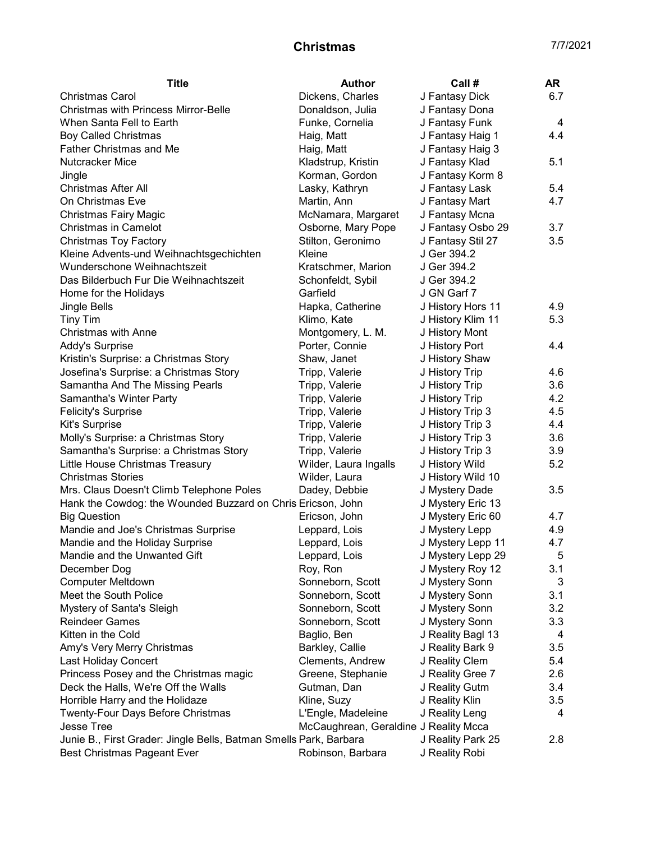| <b>Title</b>                                                      | <b>Author</b>                         | Call #            | AR             |
|-------------------------------------------------------------------|---------------------------------------|-------------------|----------------|
| <b>Christmas Carol</b>                                            | Dickens, Charles                      | J Fantasy Dick    | 6.7            |
| <b>Christmas with Princess Mirror-Belle</b>                       | Donaldson, Julia                      | J Fantasy Dona    |                |
| When Santa Fell to Earth                                          | Funke, Cornelia                       | J Fantasy Funk    | 4              |
| <b>Boy Called Christmas</b>                                       | Haig, Matt                            | J Fantasy Haig 1  | 4.4            |
| <b>Father Christmas and Me</b>                                    | Haig, Matt                            | J Fantasy Haig 3  |                |
| Nutcracker Mice                                                   | Kladstrup, Kristin                    | J Fantasy Klad    | 5.1            |
| Jingle                                                            | Korman, Gordon                        | J Fantasy Korm 8  |                |
| <b>Christmas After All</b>                                        | Lasky, Kathryn                        | J Fantasy Lask    | 5.4            |
| On Christmas Eve                                                  | Martin, Ann                           | J Fantasy Mart    | 4.7            |
| <b>Christmas Fairy Magic</b>                                      | McNamara, Margaret                    | J Fantasy Mcna    |                |
| <b>Christmas in Camelot</b>                                       | Osborne, Mary Pope                    | J Fantasy Osbo 29 | 3.7            |
| <b>Christmas Toy Factory</b>                                      | Stilton, Geronimo                     | J Fantasy Stil 27 | 3.5            |
| Kleine Advents-und Weihnachtsgechichten                           | Kleine                                | J Ger 394.2       |                |
| Wunderschone Weihnachtszeit                                       | Kratschmer, Marion                    | J Ger 394.2       |                |
| Das Bilderbuch Fur Die Weihnachtszeit                             | Schonfeldt, Sybil                     | J Ger 394.2       |                |
| Home for the Holidays                                             | Garfield                              | J GN Garf 7       |                |
| <b>Jingle Bells</b>                                               | Hapka, Catherine                      | J History Hors 11 | 4.9            |
| <b>Tiny Tim</b>                                                   | Klimo, Kate                           | J History Klim 11 | 5.3            |
| Christmas with Anne                                               | Montgomery, L. M.                     | J History Mont    |                |
| Addy's Surprise                                                   | Porter, Connie                        | J History Port    | 4.4            |
| Kristin's Surprise: a Christmas Story                             | Shaw, Janet                           | J History Shaw    |                |
| Josefina's Surprise: a Christmas Story                            | Tripp, Valerie                        | J History Trip    | 4.6            |
| Samantha And The Missing Pearls                                   | Tripp, Valerie                        | J History Trip    | 3.6            |
| Samantha's Winter Party                                           | Tripp, Valerie                        | J History Trip    | 4.2            |
| <b>Felicity's Surprise</b>                                        | Tripp, Valerie                        | J History Trip 3  | 4.5            |
| Kit's Surprise                                                    | Tripp, Valerie                        | J History Trip 3  | 4.4            |
| Molly's Surprise: a Christmas Story                               | Tripp, Valerie                        | J History Trip 3  | 3.6            |
| Samantha's Surprise: a Christmas Story                            | Tripp, Valerie                        | J History Trip 3  | 3.9            |
| Little House Christmas Treasury                                   | Wilder, Laura Ingalls                 | J History Wild    | 5.2            |
| <b>Christmas Stories</b>                                          | Wilder, Laura                         | J History Wild 10 |                |
| Mrs. Claus Doesn't Climb Telephone Poles                          | Dadey, Debbie                         | J Mystery Dade    | 3.5            |
| Hank the Cowdog: the Wounded Buzzard on Chris Ericson, John       |                                       | J Mystery Eric 13 |                |
| <b>Big Question</b>                                               | Ericson, John                         | J Mystery Eric 60 | 4.7            |
| Mandie and Joe's Christmas Surprise                               | Leppard, Lois                         | J Mystery Lepp    | 4.9            |
| Mandie and the Holiday Surprise                                   | Leppard, Lois                         | J Mystery Lepp 11 | 4.7            |
| Mandie and the Unwanted Gift                                      | Leppard, Lois                         | J Mystery Lepp 29 | $\overline{5}$ |
| December Dog                                                      | Roy, Ron                              | J Mystery Roy 12  | 3.1            |
| <b>Computer Meltdown</b>                                          | Sonneborn, Scott                      | J Mystery Sonn    | 3              |
| Meet the South Police                                             | Sonneborn, Scott                      | J Mystery Sonn    | 3.1            |
| Mystery of Santa's Sleigh                                         | Sonneborn, Scott                      | J Mystery Sonn    | 3.2            |
| <b>Reindeer Games</b>                                             | Sonneborn, Scott                      | J Mystery Sonn    | 3.3            |
| Kitten in the Cold                                                | Baglio, Ben                           | J Reality Bagl 13 | 4              |
| Amy's Very Merry Christmas                                        | Barkley, Callie                       | J Reality Bark 9  | 3.5            |
| <b>Last Holiday Concert</b>                                       | Clements, Andrew                      | J Reality Clem    | 5.4            |
| Princess Posey and the Christmas magic                            | Greene, Stephanie                     | J Reality Gree 7  | 2.6            |
| Deck the Halls, We're Off the Walls                               | Gutman, Dan                           | J Reality Gutm    | 3.4            |
| Horrible Harry and the Holidaze                                   | Kline, Suzy                           | J Reality Klin    | 3.5            |
| Twenty-Four Days Before Christmas                                 | L'Engle, Madeleine                    | J Reality Leng    | 4              |
| <b>Jesse Tree</b>                                                 | McCaughrean, Geraldine J Reality Mcca |                   |                |
| Junie B., First Grader: Jingle Bells, Batman Smells Park, Barbara |                                       | J Reality Park 25 | 2.8            |
| <b>Best Christmas Pageant Ever</b>                                | Robinson, Barbara                     | J Reality Robi    |                |